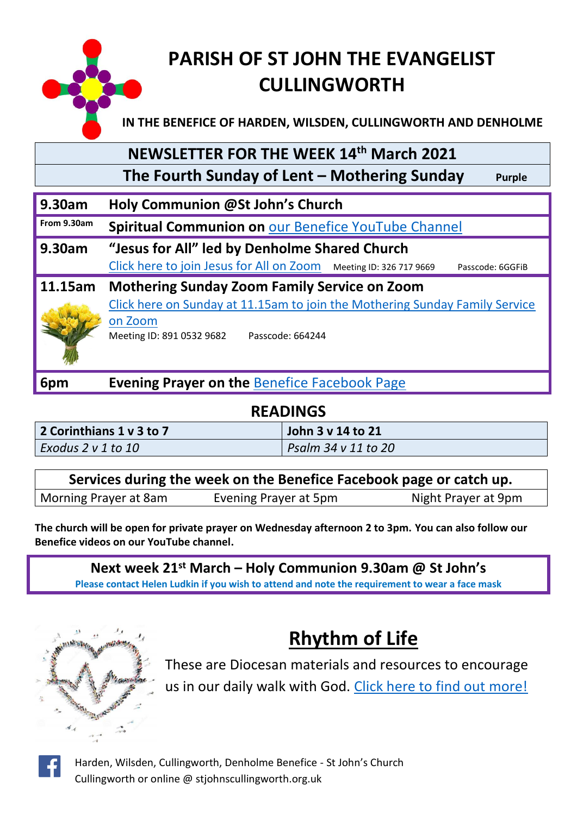

## **PARISH OF ST JOHN THE EVANGELIST CULLINGWORTH**

**IN THE BENEFICE OF HARDEN, WILSDEN, CULLINGWORTH AND DENHOLME**

## **NEWSLETTER FOR THE WEEK 14th March 2021**

 **The Fourth Sunday of Lent – Mothering Sunday Purple**

#### **9.30am Holy Communion @St John's Church**

**From 9.30am Spiritual Communion on** [our Benefice YouTube Channel](https://www.youtube.com/channel/UCtTQasnqIijI2a3y0SX3jEw)

**9.30am "Jesus for All" led by Denholme Shared Church** [Click here to join Jesus for All on Zoom](https://us02web.zoom.us/j/3267179669?pwd=V3dsd0ZCZ2ViaEZtSlF2NDQvNUhWUT09) Meeting ID: 326 717 9669 Passcode: 6GGFiB

**11.15am Mothering Sunday Zoom Family Service on Zoom** [Click here on Sunday at 11.15am to join the Mothering Sunday Family Service](https://us02web.zoom.us/j/89105329682?pwd=ZldVS1BrT1RQc05oc1ZJNE4xeHV1UT09)  [on Zoom](https://us02web.zoom.us/j/89105329682?pwd=ZldVS1BrT1RQc05oc1ZJNE4xeHV1UT09) Meeting ID: 891 0532 9682 Passcode: 664244

**6pm Evening Prayer on the** [Benefice Facebook Page](https://www.facebook.com/Harden-Wilsden-Cullingworth-Denholme-Benefice)

#### **READINGS**

| 2 Corinthians 1 v 3 to 7 | John 3 v 14 to 21   |
|--------------------------|---------------------|
| Exodus 2 v 1 to 10       | Psalm 34 v 11 to 20 |

| Services during the week on the Benefice Facebook page or catch up. |                       |                     |  |  |
|---------------------------------------------------------------------|-----------------------|---------------------|--|--|
| Morning Prayer at 8am                                               | Evening Prayer at 5pm | Night Prayer at 9pm |  |  |

**The church will be open for private prayer on Wednesday afternoon 2 to 3pm. You can also follow our Benefice videos on our YouTube channel.**

**Next week 21st March – Holy Communion 9.30am @ St John's Please contact Helen Ludkin if you wish to attend and note the requirement to wear a face mask**



## **Rhythm of Life**

These are Diocesan materials and resources to encourage us in our daily walk with God. [Click here to find out more!](https://www.leeds.anglican.org/rhythm-of-life)



Harden, Wilsden, Cullingworth, Denholme Benefice - St John's Church Cullingworth or online @ stjohnscullingworth.org.uk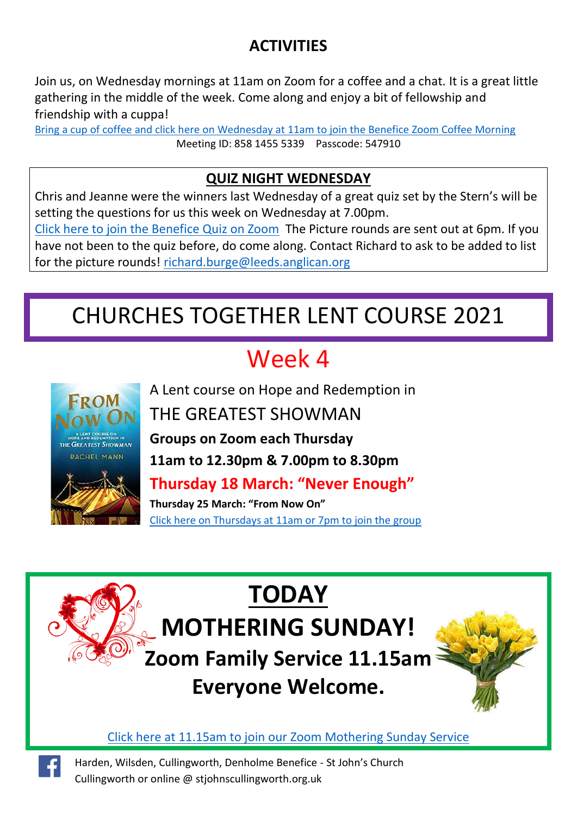## **ACTIVITIES**

Join us, on Wednesday mornings at 11am on Zoom for a coffee and a chat. It is a great little gathering in the middle of the week. Come along and enjoy a bit of fellowship and friendship with a cuppa!

[Bring a cup of coffee and click here on Wednesday at 11am to join the Benefice Zoom Coffee Morning](https://us02web.zoom.us/j/85814555339?pwd=T2tVcDBuNGxUUDVoSXVUa25IOGJvdz09) Meeting ID: 858 1455 5339 Passcode: 547910

#### **QUIZ NIGHT WEDNESDAY**

Chris and Jeanne were the winners last Wednesday of a great quiz set by the Stern's will be setting the questions for us this week on Wednesday at 7.00pm.

[Click here to join the Benefice Quiz on Zoom](https://us02web.zoom.us/j/85098439672?pwd=QnVyTTBlNGJ0d3JBV1o4TDNZWGhhUT09) The Picture rounds are sent out at 6pm. If you have not been to the quiz before, do come along. Contact Richard to ask to be added to list for the picture rounds! [richard.burge@leeds.anglican.org](mailto:richard.burge@leeds.anglican.org)

# CHURCHES TOGETHER LENT COURSE 2021

# Week 4



F

A Lent course on Hope and Redemption in

## THE GREATEST SHOWMAN

**Groups on Zoom each Thursday**

**11am to 12.30pm & 7.00pm to 8.30pm**

**Thursday 18 March: "Never Enough"**

**Thursday 25 March: "From Now On"** Cli[ck here on Thursdays at 11am or 7pm to join the group](https://us02web.zoom.us/j/83007811142?pwd=SmxUYXNsRW5OVVhxRGNLUC8zR21Odz09)

# **TODAY MOTHERING SUNDAY! Zoom Family Service 11.15am Everyone Welcome.**



[Click here at 11.15am to join our Zoom Mothering Sunday Service](https://us02web.zoom.us/j/89105329682?pwd=ZldVS1BrT1RQc05oc1ZJNE4xeHV1UT09)

Harden, Wilsden, Cullingworth, Denholme Benefice - St John's Church Cullingworth or online @ stjohnscullingworth.org.uk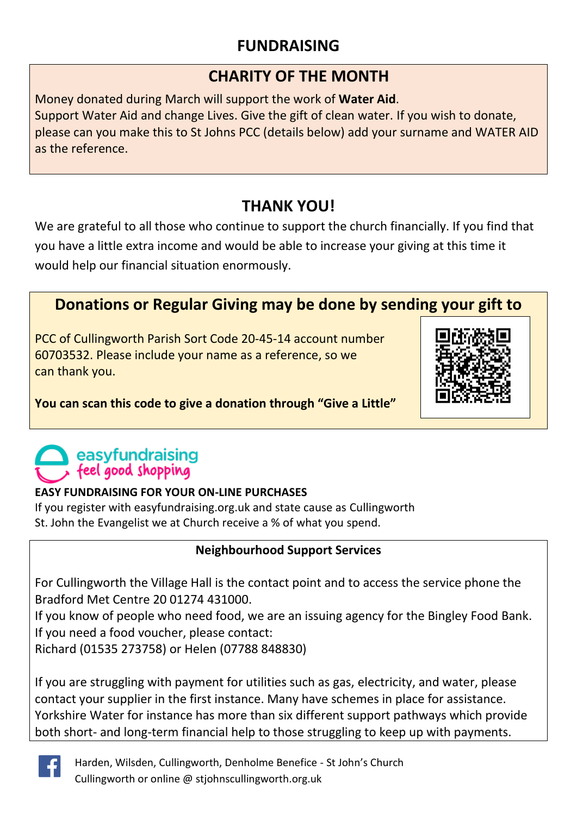### **FUNDRAISING**

#### **CHARITY OF THE MONTH**

Money donated during March will support the work of **Water Aid**. Support Water Aid and change Lives. Give the gift of clean water. If you wish to donate, please can you make this to St Johns PCC (details below) add your surname and WATER AID as the reference.

### **THANK YOU!**

We are grateful to all those who continue to support the church financially. If you find that you have a little extra income and would be able to increase your giving at this time it would help our financial situation enormously.

### **Donations or Regular Giving may be done by sending your gift to**

PCC of Cullingworth Parish Sort Code 20-45-14 account number 60703532. Please include your name as a reference, so we can thank you.



#### **You can scan this code to give a donation through "Give a Little"**

## easyfundraising feel good shopping

#### **EASY FUNDRAISING FOR YOUR ON-LINE PURCHASES**

If you register with easyfundraising.org.uk and state cause as Cullingworth St. John the Evangelist we at Church receive a % of what you spend.

#### **Neighbourhood Support Services**

For Cullingworth the Village Hall is the contact point and to access the service phone the Bradford Met Centre 20 01274 431000.

If you know of people who need food, we are an issuing agency for the Bingley Food Bank. If you need a food voucher, please contact:

Richard (01535 273758) or Helen (07788 848830)

If you are struggling with payment for utilities such as gas, electricity, and water, please contact your supplier in the first instance. Many have schemes in place for assistance. Yorkshire Water for instance has more than six different support pathways which provide both short- and long-term financial help to those struggling to keep up with payments.